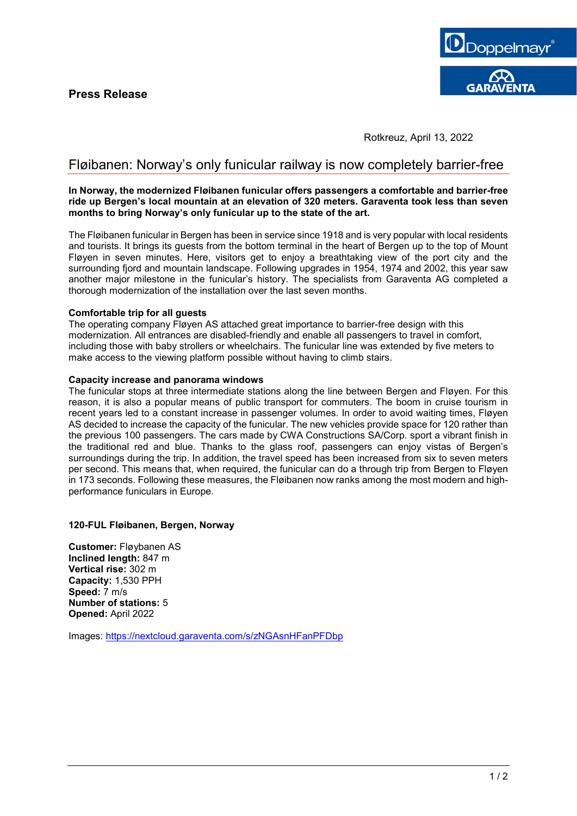

Rotkreuz, April 13, 2022

# Fløibanen: Norway's only funicular railway is now completely barrier-free

#### **In Norway, the modernized Fløibanen funicular offers passengers a comfortable and barrier-free ride up Bergen's local mountain at an elevation of 320 meters. Garaventa took less than seven months to bring Norway's only funicular up to the state of the art.**

The Fløibanen funicular in Bergen has been in service since 1918 and is very popular with local residents and tourists. It brings its guests from the bottom terminal in the heart of Bergen up to the top of Mount Fløyen in seven minutes. Here, visitors get to enjoy a breathtaking view of the port city and the surrounding fjord and mountain landscape. Following upgrades in 1954, 1974 and 2002, this year saw another major milestone in the funicular's history. The specialists from Garaventa AG completed a thorough modernization of the installation over the last seven months.

## **Comfortable trip for all guests**

The operating company Fløyen AS attached great importance to barrier-free design with this modernization. All entrances are disabled-friendly and enable all passengers to travel in comfort, including those with baby strollers or wheelchairs. The funicular line was extended by five meters to make access to the viewing platform possible without having to climb stairs.

## **Capacity increase and panorama windows**

The funicular stops at three intermediate stations along the line between Bergen and Fløyen. For this reason, it is also a popular means of public transport for commuters. The boom in cruise tourism in recent years led to a constant increase in passenger volumes. In order to avoid waiting times, Fløyen AS decided to increase the capacity of the funicular. The new vehicles provide space for 120 rather than the previous 100 passengers. The cars made by CWA Constructions SA/Corp. sport a vibrant finish in the traditional red and blue. Thanks to the glass roof, passengers can enjoy vistas of Bergen's surroundings during the trip. In addition, the travel speed has been increased from six to seven meters per second. This means that, when required, the funicular can do a through trip from Bergen to Fløyen in 173 seconds. Following these measures, the Fløibanen now ranks among the most modern and highperformance funiculars in Europe.

## **120-FUL Fløibanen, Bergen, Norway**

**Customer:** Fløybanen AS **Inclined length:** 847 m **Vertical rise:** 302 m **Capacity:** 1,530 PPH **Speed:** 7 m/s **Number of stations:** 5 **Opened:** April 2022

Images:<https://nextcloud.garaventa.com/s/zNGAsnHFanPFDbp>